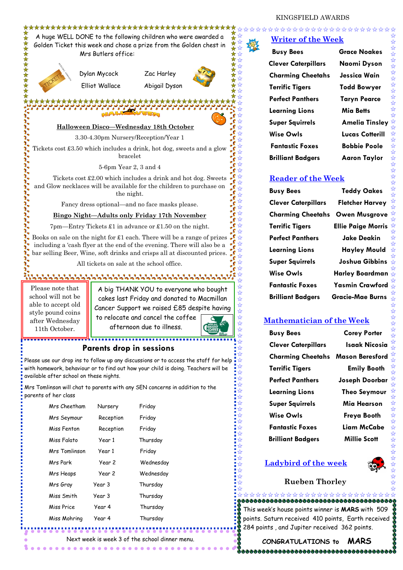\*\*\*\*\*\*\*\*\*\*\*\*\*\*\*\*\*\*

\*\*\*\*\*\*\*\*\*\*\*\*\*\*\*\*\*\*\*\*\*\*\*\*\*\*\*\*\*\*\*\*\*\* A huge WELL DONE to the following children who were awarded a Golden Ticket this week and chose a prize from the Golden chest in Mrs Butlers office:



Dylan Mycock Zac Harley

Elliot Wallace Abigail Dyson



# **Halloween Disco—Wednesday 18th October**

3.30-4.30pm Nursery/Reception/Year 1

Tickets cost £3.50 which includes a drink, hot dog, sweets and a glow bracelet

5-6pm Year 2, 3 and 4

 Tickets cost £2.00 which includes a drink and hot dog. Sweets and Glow necklaces will be available for the children to purchase on the night.

Fancy dress optional—and no face masks please.

#### **Bingo Night—Adults only Friday 17th November**

7pm—Entry Tickets £1 in advance or £1.50 on the night.

Books on sale on the night for £1 each. There will be a range of prizes including a 'cash flyer at the end of the evening. There will also be a bar selling Beer, Wine, soft drinks and crisps all at discounted prices.

All tickets on sale at the school office.

Please note that school will not be able to accept old style pound coins after Wednesday 11th October.

A big THANK YOU to everyone who bought cakes last Friday and donated to Macmillan Cancer Support we raised £85 despite having

to relocate and cancel the coffee afternoon due to illness.



#### **Parents drop in sessions**

Please use our drop ins to follow up any discussions or to access the staff for help with homework, behaviour or to find out how your child is doing. Teachers will be available after school on these nights.

Mrs Tomlinson will chat to parents with any SEN concerns in addition to the parents of her class

| Mrs Cheetham  | Nursery   | Friday    |
|---------------|-----------|-----------|
| Mrs Seymour   | Reception | Friday    |
| Miss Fenton   | Reception | Friday    |
| Miss Falato   | Year 1    | Thursday  |
| Mrs Tomlinson | Year 1    | Friday    |
| Mrs Park      | Year 2    | Wednesday |
| Mrs Heaps     | Year 2    | Wednesday |
| Mrs Gray      | Year 3    | Thursday  |
| Miss Smith    | Year 3    | Thursday  |
| Miss Price    | Year 4    | Thursday  |
| Miss Mohring  | Year 4    | Thursday  |

week is week 3 of the school dinner menu.

 $\bullet\bullet\bullet\bullet\bullet\bullet$ 

# **Writer of the Week**

| <b>Busy Bees</b>           | <b>Grace Noakes</b>   |  |
|----------------------------|-----------------------|--|
| <b>Clever Caterpillars</b> | Naomi Dyson           |  |
| <b>Charming Cheetahs</b>   | Jessica Wain          |  |
| <b>Terrific Tigers</b>     | <b>Todd Bowyer</b>    |  |
| <b>Perfect Panthers</b>    | <b>Taryn Pearce</b>   |  |
| <b>Learning Lions</b>      | Mia Betts             |  |
| <b>Super Squirrels</b>     | <b>Amelia Tinsle</b>  |  |
| Wise Owls                  | <b>Lucas Cotteril</b> |  |
| <b>Fantastic Foxes</b>     | <b>Bobbie Poole</b>   |  |
| <b>Brilliant Badgers</b>   | <b>Aaron Taylor</b>   |  |

**Grace Noakes Naomi Dyson Jessica Wain Todd Bowyer Taryn Pearce Mia Betts Amelia Tinsley Lucas Cotterill Bobbie Poole** 

#### **Reader of the Week**

| <b>Busy Bees</b>           | Т٥           |
|----------------------------|--------------|
| <b>Clever Caterpillars</b> | Fle          |
| <b>Charming Cheetahs</b>   | Ow           |
| <b>Terrific Tigers</b>     | <b>Ellie</b> |
| <b>Perfect Panthers</b>    | Jı           |
| <b>Learning Lions</b>      | H            |
| Super Squirrels            | Jo           |
| <b>Wise Owls</b>           | Harl         |
| <b>Fantastic Foxes</b>     | Yası         |
| <b>Brilliant Badgers</b>   | Grac         |

**eddy Oakes Cher Harvey charming** Musgrove **Paige Morris Perfect Panthers Jake Deakin Layley Mould shua Gibbins Ley Boardman Fantastic Foxes Yasmin Crawford Brilliant Badgers Gracie-Mae Burns**

## **Mathematician of the Week**

| <b>Busy Bees</b>           |
|----------------------------|
| <b>Clever Caterpillars</b> |
| <b>Charming Cheetahs</b>   |
| <b>Terrific Tigers</b>     |
| <b>Perfect Panthers</b>    |
| <b>Learning Lions</b>      |
| <b>Super Squirrels</b>     |
| Wise Owls                  |
| <b>Fantastic Foxes</b>     |
| Brilliant Badaers          |

**Corey Porter Isaak Nicosia Mason Beresford Emily Booth Joseph Doorbar Theo Seymour Mia Hearson Freva Booth Liam McCabe Millie Scott** 

# **Ladybird of the week**



## **Rueben Thorley**

This week's house points winner is **MARS** with 509 points. Saturn received 410 points, Earth received 284 points , and Jupiter received 362 points.